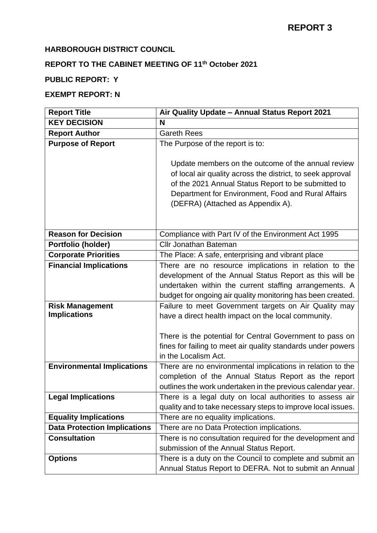### **HARBOROUGH DISTRICT COUNCIL**

# **REPORT TO THE CABINET MEETING OF 11th October 2021**

# **PUBLIC REPORT: Y**

## **EXEMPT REPORT: N**

| <b>Report Title</b>                 | Air Quality Update - Annual Status Report 2021               |
|-------------------------------------|--------------------------------------------------------------|
| <b>KEY DECISION</b>                 | N                                                            |
| <b>Report Author</b>                | <b>Gareth Rees</b>                                           |
| <b>Purpose of Report</b>            | The Purpose of the report is to:                             |
|                                     |                                                              |
|                                     | Update members on the outcome of the annual review           |
|                                     | of local air quality across the district, to seek approval   |
|                                     | of the 2021 Annual Status Report to be submitted to          |
|                                     | Department for Environment, Food and Rural Affairs           |
|                                     | (DEFRA) (Attached as Appendix A).                            |
|                                     |                                                              |
| <b>Reason for Decision</b>          | Compliance with Part IV of the Environment Act 1995          |
| Portfolio (holder)                  | <b>Cllr Jonathan Bateman</b>                                 |
| <b>Corporate Priorities</b>         | The Place: A safe, enterprising and vibrant place            |
| <b>Financial Implications</b>       | There are no resource implications in relation to the        |
|                                     | development of the Annual Status Report as this will be      |
|                                     | undertaken within the current staffing arrangements. A       |
|                                     | budget for ongoing air quality monitoring has been created.  |
| <b>Risk Management</b>              | Failure to meet Government targets on Air Quality may        |
| <b>Implications</b>                 | have a direct health impact on the local community.          |
|                                     |                                                              |
|                                     | There is the potential for Central Government to pass on     |
|                                     | fines for failing to meet air quality standards under powers |
|                                     | in the Localism Act.                                         |
| <b>Environmental Implications</b>   | There are no environmental implications in relation to the   |
|                                     | completion of the Annual Status Report as the report         |
|                                     | outlines the work undertaken in the previous calendar year.  |
| <b>Legal Implications</b>           | There is a legal duty on local authorities to assess air     |
|                                     | quality and to take necessary steps to improve local issues. |
| <b>Equality Implications</b>        | There are no equality implications.                          |
| <b>Data Protection Implications</b> | There are no Data Protection implications.                   |
| <b>Consultation</b>                 | There is no consultation required for the development and    |
|                                     | submission of the Annual Status Report.                      |
| <b>Options</b>                      | There is a duty on the Council to complete and submit an     |
|                                     | Annual Status Report to DEFRA. Not to submit an Annual       |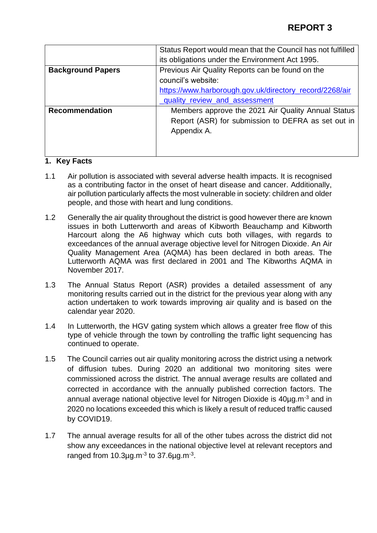|                          | Status Report would mean that the Council has not fulfilled |
|--------------------------|-------------------------------------------------------------|
|                          | its obligations under the Environment Act 1995.             |
| <b>Background Papers</b> | Previous Air Quality Reports can be found on the            |
|                          | council's website:                                          |
|                          | https://www.harborough.gov.uk/directory_record/2268/air     |
|                          | quality_review_and_assessment                               |
| <b>Recommendation</b>    | Members approve the 2021 Air Quality Annual Status          |
|                          | Report (ASR) for submission to DEFRA as set out in          |
|                          | Appendix A.                                                 |
|                          |                                                             |
|                          |                                                             |

#### **1. Key Facts**

- 1.1 Air pollution is associated with several adverse health impacts. It is recognised as a contributing factor in the onset of heart disease and cancer. Additionally, air pollution particularly affects the most vulnerable in society: children and older people, and those with heart and lung conditions.
- 1.2 Generally the air quality throughout the district is good however there are known issues in both Lutterworth and areas of Kibworth Beauchamp and Kibworth Harcourt along the A6 highway which cuts both villages, with regards to exceedances of the annual average objective level for Nitrogen Dioxide. An Air Quality Management Area (AQMA) has been declared in both areas. The Lutterworth AQMA was first declared in 2001 and The Kibworths AQMA in November 2017.
- 1.3 The Annual Status Report (ASR) provides a detailed assessment of any monitoring results carried out in the district for the previous year along with any action undertaken to work towards improving air quality and is based on the calendar year 2020.
- 1.4 In Lutterworth, the HGV gating system which allows a greater free flow of this type of vehicle through the town by controlling the traffic light sequencing has continued to operate.
- 1.5 The Council carries out air quality monitoring across the district using a network of diffusion tubes. During 2020 an additional two monitoring sites were commissioned across the district. The annual average results are collated and corrected in accordance with the annually published correction factors. The annual average national objective level for Nitrogen Dioxide is 40ug.m<sup>-3</sup> and in 2020 no locations exceeded this which is likely a result of reduced traffic caused by COVID19.
- 1.7 The annual average results for all of the other tubes across the district did not show any exceedances in the national objective level at relevant receptors and ranged from 10.3µg.m $3$  to 37.6µg.m $3$ .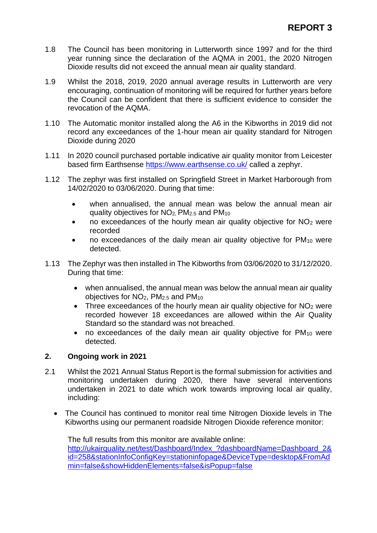- 1.8 The Council has been monitoring in Lutterworth since 1997 and for the third year running since the declaration of the AQMA in 2001, the 2020 Nitrogen Dioxide results did not exceed the annual mean air quality standard.
- 1.9 Whilst the 2018, 2019, 2020 annual average results in Lutterworth are very encouraging, continuation of monitoring will be required for further years before the Council can be confident that there is sufficient evidence to consider the revocation of the AQMA.
- 1.10 The Automatic monitor installed along the A6 in the Kibworths in 2019 did not record any exceedances of the 1-hour mean air quality standard for Nitrogen Dioxide during 2020
- 1.11 In 2020 council purchased portable indicative air quality monitor from Leicester based firm Earthsense<https://www.earthsense.co.uk/> called a zephyr.
- 1.12 The zephyr was first installed on Springfield Street in Market Harborough from 14/02/2020 to 03/06/2020. During that time:
	- when annualised, the annual mean was below the annual mean air quality objectives for NO2, PM2.5 and PM<sup>10</sup>
	- no exceedances of the hourly mean air quality objective for  $NO<sub>2</sub>$  were recorded
	- no exceedances of the daily mean air quality objective for PM<sub>10</sub> were detected.
- 1.13 The Zephyr was then installed in The Kibworths from 03/06/2020 to 31/12/2020. During that time:
	- when annualised, the annual mean was below the annual mean air quality objectives for  $NO<sub>2</sub>$ , PM<sub>2.5</sub> and PM<sub>10</sub>
	- Three exceedances of the hourly mean air quality objective for  $NO<sub>2</sub>$  were recorded however 18 exceedances are allowed within the Air Quality Standard so the standard was not breached.
	- no exceedances of the daily mean air quality objective for PM<sup>10</sup> were detected.

#### **2. Ongoing work in 2021**

- 2.1 Whilst the 2021 Annual Status Report is the formal submission for activities and monitoring undertaken during 2020, there have several interventions undertaken in 2021 to date which work towards improving local air quality, including:
	- The Council has continued to monitor real time Nitrogen Dioxide levels in The Kibworths using our permanent roadside Nitrogen Dioxide reference monitor:

The full results from this monitor are available online: [http://ukairquality.net/test/Dashboard/Index\\_?dashboardName=Dashboard\\_2&](http://ukairquality.net/test/Dashboard/Index_?dashboardName=Dashboard_2&id=258&stationInfoConfigKey=stationinfopage&DeviceType=desktop&FromAdmin=false&showHiddenElements=false&isPopup=false) [id=258&stationInfoConfigKey=stationinfopage&DeviceType=desktop&FromAd](http://ukairquality.net/test/Dashboard/Index_?dashboardName=Dashboard_2&id=258&stationInfoConfigKey=stationinfopage&DeviceType=desktop&FromAdmin=false&showHiddenElements=false&isPopup=false) [min=false&showHiddenElements=false&isPopup=false](http://ukairquality.net/test/Dashboard/Index_?dashboardName=Dashboard_2&id=258&stationInfoConfigKey=stationinfopage&DeviceType=desktop&FromAdmin=false&showHiddenElements=false&isPopup=false)